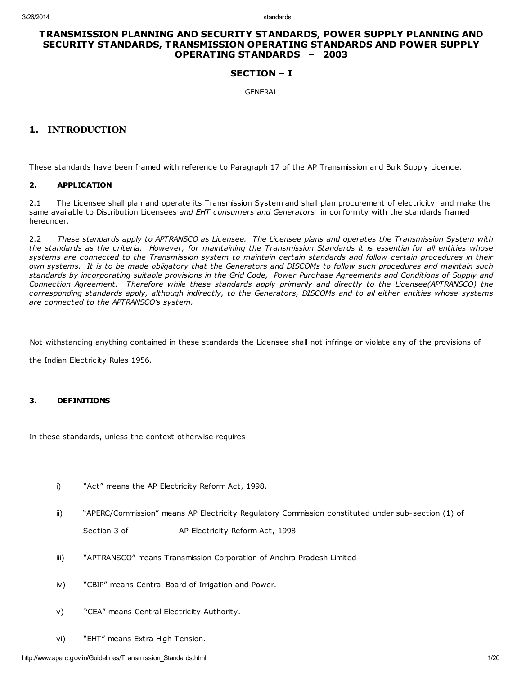## TRANSMISSION PLANNING AND SECURITY STANDARDS, POWER SUPPLY PLANNING AND SECURITY STANDARDS, TRANSMISSION OPERATING STANDARDS AND POWER SUPPLY OPERATING STANDARDS – 2003

## SECTION – I

**GENERAL** 

## 1. INTRODUCTION

These standards have been framed with reference to Paragraph 17 of the AP Transmission and Bulk Supply Licence.

### 2. APPLICATION

2.1 The Licensee shall plan and operate its Transmission System and shall plan procurement of electricity and make the same available to Distribution Licensees and EHT consumers and Generators in conformity with the standards framed hereunder.

2.2 These standards apply to APTRANSCO as Licensee. The Licensee plans and operates the Transmission System with the standards as the criteria. However, for maintaining the Transmission Standards it is essential for all entities whose systems are connected to the Transmission system to maintain certain standards and follow certain procedures in their own systems. It is to be made obligatory that the Generators and DISCOMs to follow such procedures and maintain such standards by incorporating suitable provisions in the Grid Code, Power Purchase Agreements and Conditions of Supply and Connection Agreement. Therefore while these standards apply primarily and directly to the Licensee(APTRANSCO) the corresponding standards apply, although indirectly, to the Generators, DISCOMs and to all either entities whose systems are connected to the APTRANSCO's system.

Not withstanding anything contained in these standards the Licensee shall not infringe or violate any of the provisions of

the Indian Electricity Rules 1956.

### 3. DEFINITIONS

In these standards, unless the context otherwise requires

- i) "Act" means the AP Electricity Reform Act, 1998.
- ii) "APERC/Commission" means AP Electricity Regulatory Commission constituted under sub-section (1) of Section 3 of AP Electricity Reform Act, 1998.
- iii) "APTRANSCO" means Transmission Corporation of Andhra Pradesh Limited
- iv) "CBIP" means Central Board of Irrigation and Power.
- v) "CEA" means Central Electricity Authority.
- vi) "EHT" means Extra High Tension.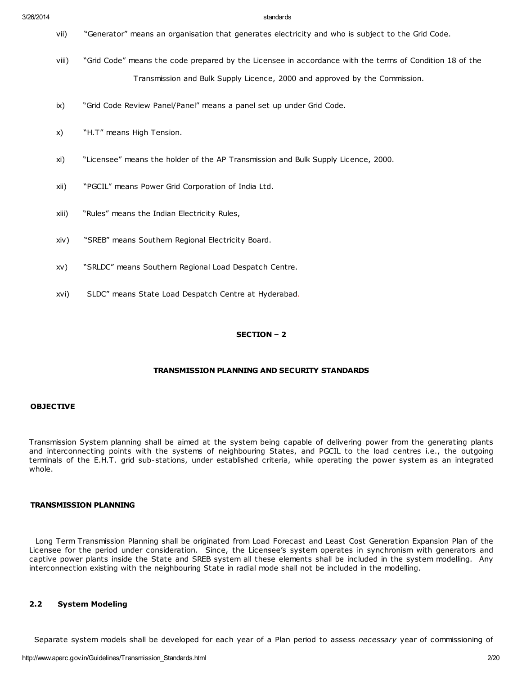- vii) "Generator" means an organisation that generates electricity and who is subject to the Grid Code.
- viii) "Grid Code" means the code prepared by the Licensee in accordance with the terms of Condition 18 of the Transmission and Bulk Supply Licence, 2000 and approved by the Commission.
- ix) "Grid Code Review Panel/Panel" means a panel set up under Grid Code.
- x) "H.T" means High Tension.
- xi) "Licensee" means the holder of the AP Transmission and Bulk Supply Licence, 2000.
- xii) "PGCIL" means Power Grid Corporation of India Ltd.
- xiii) "Rules" means the Indian Electricity Rules,
- xiv) "SREB" means Southern Regional Electricity Board.
- xv) "SRLDC" means Southern Regional Load Despatch Centre.
- xvi) SLDC" means State Load Despatch Centre at Hyderabad.

#### SECTION – 2

## TRANSMISSION PLANNING AND SECURITY STANDARDS

#### **OBJECTIVE**

Transmission System planning shall be aimed at the system being capable of delivering power from the generating plants and interconnecting points with the systems of neighbouring States, and PGCIL to the load centres i.e., the outgoing terminals of the E.H.T. grid sub-stations, under established criteria, while operating the power system as an integrated whole.

#### TRANSMISSION PLANNING

Long Term Transmission Planning shall be originated from Load Forecast and Least Cost Generation Expansion Plan of the Licensee for the period under consideration. Since, the Licensee's system operates in synchronism with generators and captive power plants inside the State and SREB system all these elements shall be included in the system modelling. Any interconnection existing with the neighbouring State in radial mode shall not be included in the modelling.

## 2.2 System Modeling

Separate system models shall be developed for each year of a Plan period to assess necessary year of commissioning of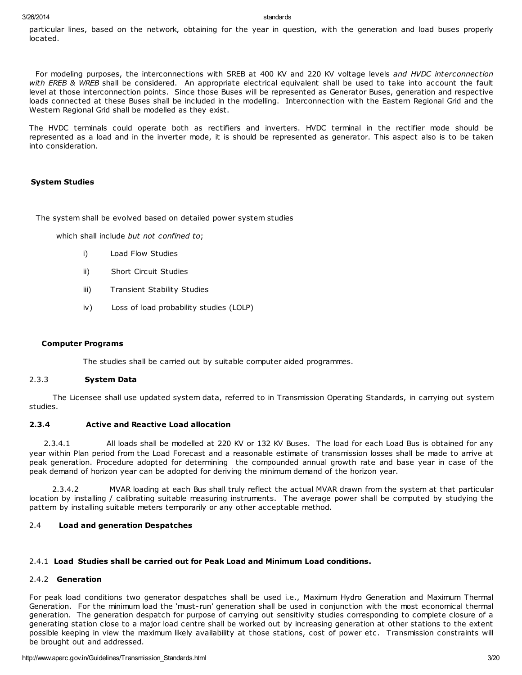particular lines, based on the network, obtaining for the year in question, with the generation and load buses properly located.

For modeling purposes, the interconnections with SREB at 400 KV and 220 KV voltage levels and HVDC interconnection with EREB & WREB shall be considered. An appropriate electrical equivalent shall be used to take into account the fault level at those interconnection points. Since those Buses will be represented as Generator Buses, generation and respective loads connected at these Buses shall be included in the modelling. Interconnection with the Eastern Regional Grid and the Western Regional Grid shall be modelled as they exist.

The HVDC terminals could operate both as rectifiers and inverters. HVDC terminal in the rectifier mode should be represented as a load and in the inverter mode, it is should be represented as generator. This aspect also is to be taken into consideration.

### System Studies

The system shall be evolved based on detailed power system studies

which shall include but not confined to;

- i) Load Flow Studies
- ii) Short Circuit Studies
- iii) Transient Stability Studies
- iv) Loss of load probability studies (LOLP)

### Computer Programs

The studies shall be carried out by suitable computer aided programmes.

### 2.3.3 System Data

The Licensee shall use updated system data, referred to in Transmission Operating Standards, in carrying out system studies.

## 2.3.4 Active and Reactive Load allocation

2.3.4.1 All loads shall be modelled at 220 KV or 132 KV Buses. The load for each Load Bus is obtained for any year within Plan period from the Load Forecast and a reasonable estimate of transmission losses shall be made to arrive at peak generation. Procedure adopted for determining the compounded annual growth rate and base year in case of the peak demand of horizon year can be adopted for deriving the minimum demand of the horizon year.

2.3.4.2 MVAR loading at each Bus shall truly reflect the actual MVAR drawn from the system at that particular location by installing / calibrating suitable measuring instruments. The average power shall be computed by studying the pattern by installing suitable meters temporarily or any other acceptable method.

### 2.4 Load and generation Despatches

### 2.4.1 Load Studies shall be carried out for Peak Load and Minimum Load conditions.

### 2.4.2 Generation

For peak load conditions two generator despatches shall be used i.e., Maximum Hydro Generation and Maximum Thermal Generation. For the minimum load the 'must-run' generation shall be used in conjunction with the most economical thermal generation. The generation despatch for purpose of carrying out sensitivity studies corresponding to complete closure of a generating station close to a major load centre shall be worked out by increasing generation at other stations to the extent possible keeping in view the maximum likely availability at those stations, cost of power etc. Transmission constraints will be brought out and addressed.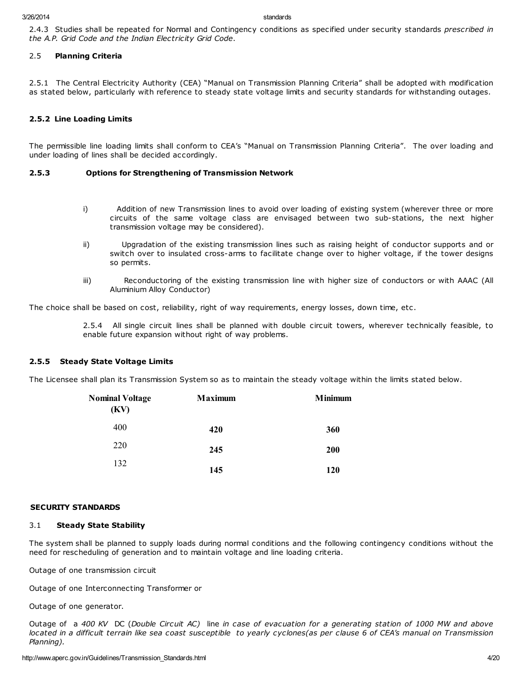2.4.3 Studies shall be repeated for Normal and Contingency conditions as specified under security standards prescribed in the A.P. Grid Code and the Indian Electricity Grid Code.

#### 2.5 Planning Criteria

2.5.1 The Central Electricity Authority (CEA) "Manual on Transmission Planning Criteria" shall be adopted with modification as stated below, particularly with reference to steady state voltage limits and security standards for withstanding outages.

### 2.5.2 Line Loading Limits

The permissible line loading limits shall conform to CEA's "Manual on Transmission Planning Criteria". The over loading and under loading of lines shall be decided accordingly.

#### 2.5.3 Options for Strengthening of Transmission Network

- i) Addition of new Transmission lines to avoid over loading of existing system (wherever three or more circuits of the same voltage class are envisaged between two sub-stations, the next higher transmission voltage may be considered).
- ii) Upgradation of the existing transmission lines such as raising height of conductor supports and or switch over to insulated cross-arms to facilitate change over to higher voltage, if the tower designs so permits.
- iii) Reconductoring of the existing transmission line with higher size of conductors or with AAAC (All Aluminium Alloy Conductor)

The choice shall be based on cost, reliability, right of way requirements, energy losses, down time, etc.

2.5.4 All single circuit lines shall be planned with double circuit towers, wherever technically feasible, to enable future expansion without right of way problems.

#### 2.5.5 Steady State Voltage Limits

The Licensee shall plan its Transmission System so as to maintain the steady voltage within the limits stated below.

| <b>Nominal Voltage</b><br>(KV) | <b>Maximum</b> | <b>Minimum</b> |
|--------------------------------|----------------|----------------|
| 400                            | 420            | 360            |
| 220                            | 245            | 200            |
| 132                            | 145            | 120            |

#### SECURITY STANDARDS

#### 3.1 Steady State Stability

The system shall be planned to supply loads during normal conditions and the following contingency conditions without the need for rescheduling of generation and to maintain voltage and line loading criteria.

Outage of one transmission circuit

Outage of one Interconnecting Transformer or

Outage of one generator.

Outage of a 400 KV DC (Double Circuit AC) line in case of evacuation for a generating station of 1000 MW and above located in a difficult terrain like sea coast susceptible to yearly cyclones(as per clause 6 of CEA's manual on Transmission Planning).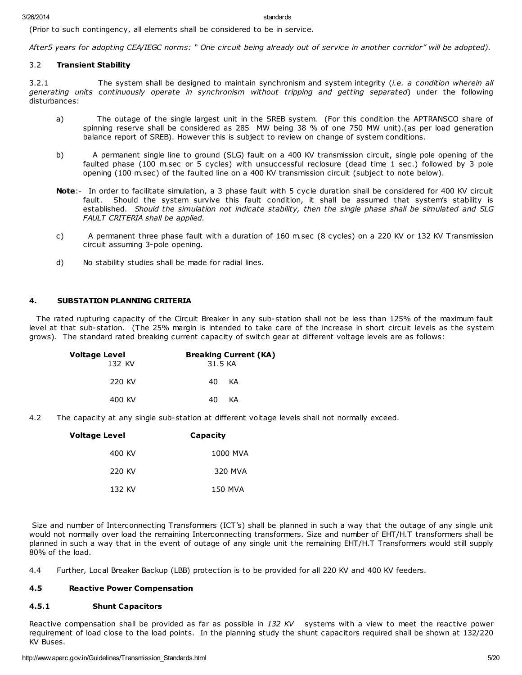(Prior to such contingency, all elements shall be considered to be in service.

After5 years for adopting CEA/IEGC norms: " One circuit being already out of service in another corridor" will be adopted).

### 3.2 Transient Stability

3.2.1 The system shall be designed to maintain synchronism and system integrity (*i.e. a condition wherein all* generating units continuously operate in synchronism without tripping and getting separated) under the following disturbances:

- a) The outage of the single largest unit in the SREB system. (For this condition the APTRANSCO share of spinning reserve shall be considered as 285 MW being 38 % of one 750 MW unit).(as per load generation balance report of SREB). However this is subject to review on change of system conditions.
- b) A permanent single line to ground (SLG) fault on a 400 KV transmission circuit, single pole opening of the faulted phase (100 m.sec or 5 cycles) with unsuccessful reclosure (dead time 1 sec.) followed by 3 pole opening (100 m.sec) of the faulted line on a 400 KV transmission circuit (subject to note below).
- Note:- In order to facilitate simulation, a 3 phase fault with 5 cycle duration shall be considered for 400 KV circuit fault. Should the system survive this fault condition, it shall be assumed that system's stability is established. Should the simulation not indicate stability, then the single phase shall be simulated and SLG FAULT CRITERIA shall be applied.
- c) A permanent three phase fault with a duration of 160 m.sec (8 cycles) on a 220 KV or 132 KV Transmission circuit assuming 3-pole opening.
- d) No stability studies shall be made for radial lines.

## 4. SUBSTATION PLANNING CRITERIA

The rated rupturing capacity of the Circuit Breaker in any sub-station shall not be less than 125% of the maximum fault level at that sub-station. (The 25% margin is intended to take care of the increase in short circuit levels as the system grows). The standard rated breaking current capacity of switch gear at different voltage levels are as follows:

| Voltage Level<br>132 KV | <b>Breaking Current (KA)</b><br>31.5 KA |
|-------------------------|-----------------------------------------|
| 220 KV                  | 40.<br>KA                               |
| 400 KV                  | 40.<br>KА                               |

4.2 The capacity at any single sub-station at different voltage levels shall not normally exceed.

| Voltage Level | Capacity |
|---------------|----------|
| 400 KV        | 1000 MVA |
| 220 KV        | 320 MVA  |
| 132 KV        | 150 MVA  |

Size and number of Interconnecting Transformers (ICT's) shall be planned in such a way that the outage of any single unit would not normally over load the remaining Interconnecting transformers. Size and number of EHT/H.T transformers shall be planned in such a way that in the event of outage of any single unit the remaining EHT/H.T Transformers would still supply 80% of the load.

4.4 Further, Local Breaker Backup (LBB) protection is to be provided for all 220 KV and 400 KV feeders.

## 4.5 Reactive Power Compensation

### 4.5.1 Shunt Capacitors

Reactive compensation shall be provided as far as possible in  $132$  KV systems with a view to meet the reactive power requirement of load close to the load points. In the planning study the shunt capacitors required shall be shown at 132/220 KV Buses.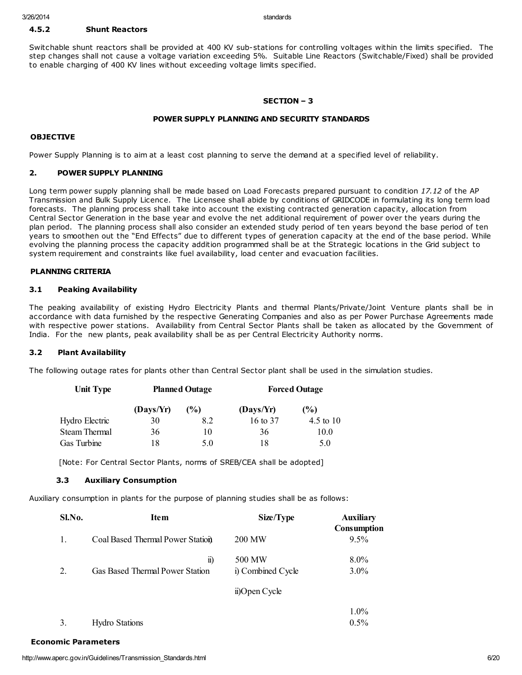## 4.5.2 Shunt Reactors

Switchable shunt reactors shall be provided at 400 KV sub-stations for controlling voltages within the limits specified. The step changes shall not cause a voltage variation exceeding 5%. Suitable Line Reactors (Switchable/Fixed) shall be provided to enable charging of 400 KV lines without exceeding voltage limits specified.

### SECTION – 3

## POWER SUPPLY PLANNING AND SECURITY STANDARDS

#### **OBJECTIVE**

Power Supply Planning is to aim at a least cost planning to serve the demand at a specified level of reliability.

### 2. POWER SUPPLY PLANNING

Long term power supply planning shall be made based on Load Forecasts prepared pursuant to condition 17.12 of the AP Transmission and Bulk Supply Licence. The Licensee shall abide by conditions of GRIDCODE in formulating its long term load forecasts. The planning process shall take into account the existing contracted generation capacity, allocation from Central Sector Generation in the base year and evolve the net additional requirement of power over the years during the plan period. The planning process shall also consider an extended study period of ten years beyond the base period of ten years to smoothen out the "End Effects" due to different types of generation capacity at the end of the base period. While evolving the planning process the capacity addition programmed shall be at the Strategic locations in the Grid subject to system requirement and constraints like fuel availability, load center and evacuation facilities.

## PLANNING CRITERIA

### 3.1 Peaking Availability

The peaking availability of existing Hydro Electricity Plants and thermal Plants/Private/Joint Venture plants shall be in accordance with data furnished by the respective Generating Companies and also as per Power Purchase Agreements made with respective power stations. Availability from Central Sector Plants shall be taken as allocated by the Government of India. For the new plants, peak availability shall be as per Central Electricity Authority norms.

### 3.2 Plant Availability

The following outage rates for plants other than Central Sector plant shall be used in the simulation studies.

| <b>Unit Type</b> | <b>Planned Outage</b> |        | <b>Forced Outage</b> |               |
|------------------|-----------------------|--------|----------------------|---------------|
|                  | (Days/Yr)             | $($ %) | (Days/Yr)            | $\frac{6}{6}$ |
| Hydro Electric   | 30                    | 8.2    | 16 to 37             | 4.5 to $10$   |
| Steam Thermal    | 36                    | 10     | 36                   | 10.0          |
| Gas Turbine      | 18                    | 5.0    | 18                   | 5.0           |

[Note: For Central Sector Plants, norms of SREB/CEA shall be adopted]

### 3.3 Auxiliary Consumption

Auxiliary consumption in plants for the purpose of planning studies shall be as follows:

| Sl.No.         | <b>Item</b>                      | Size/Type         | <b>Auxiliary</b><br><b>Consumption</b> |
|----------------|----------------------------------|-------------------|----------------------------------------|
| $\mathbf{1}$ . | Coal Based Thermal Power Station | 200 MW            | $9.5\%$                                |
|                | $\mathbf{n}$                     | 500 MW            | $8.0\%$                                |
| 2.             | Gas Based Thermal Power Station  | i) Combined Cycle | 3.0%                                   |
|                |                                  | ii)Open Cycle     |                                        |
|                |                                  |                   | $1.0\%$                                |
|                | <b>Hydro Stations</b>            |                   | 0.5%                                   |

| <b>Economic Parameters</b> |
|----------------------------|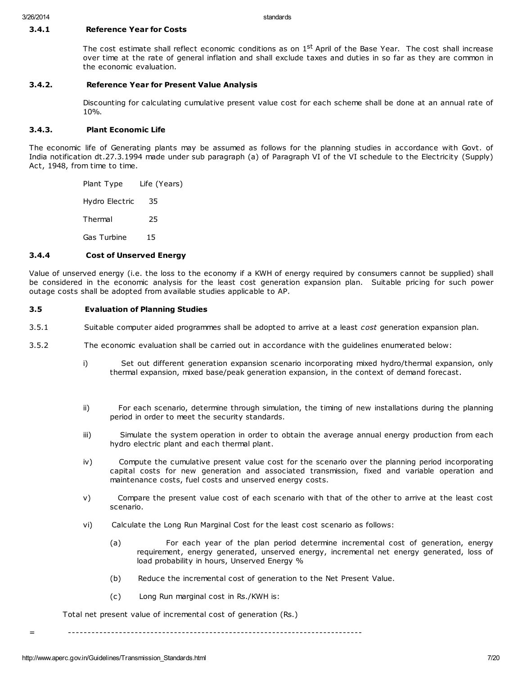### 3.4.1 Reference Year for Costs

The cost estimate shall reflect economic conditions as on 1<sup>st</sup> April of the Base Year. The cost shall increase over time at the rate of general inflation and shall exclude taxes and duties in so far as they are common in the economic evaluation.

## 3.4.2. Reference Year for Present Value Analysis

Discounting for calculating cumulative present value cost for each scheme shall be done at an annual rate of 10%.

### 3.4.3. Plant Economic Life

The economic life of Generating plants may be assumed as follows for the planning studies in accordance with Govt. of India notification dt.27.3.1994 made under sub paragraph (a) of Paragraph VI of the VI schedule to the Electricity (Supply) Act, 1948, from time to time.

> Plant Type Life (Years) Hydro Electric 35 Thermal 25 Gas Turbine 15

## 3.4.4 Cost of Unserved Energy

Value of unserved energy (i.e. the loss to the economy if a KWH of energy required by consumers cannot be supplied) shall be considered in the economic analysis for the least cost generation expansion plan. Suitable pricing for such power outage costs shall be adopted from available studies applicable to AP.

## 3.5 Evaluation of Planning Studies

- 3.5.1 Suitable computer aided programmes shall be adopted to arrive at a least cost generation expansion plan.
- 3.5.2 The economic evaluation shall be carried out in accordance with the guidelines enumerated below:
	- i) Set out different generation expansion scenario incorporating mixed hydro/thermal expansion, only thermal expansion, mixed base/peak generation expansion, in the context of demand forecast.
	- ii) For each scenario, determine through simulation, the timing of new installations during the planning period in order to meet the security standards.
	- iii) Simulate the system operation in order to obtain the average annual energy production from each hydro electric plant and each thermal plant.
	- iv) Compute the cumulative present value cost for the scenario over the planning period incorporating capital costs for new generation and associated transmission, fixed and variable operation and maintenance costs, fuel costs and unserved energy costs.
	- v) Compare the present value cost of each scenario with that of the other to arrive at the least cost scenario.
	- vi) Calculate the Long Run Marginal Cost for the least cost scenario as follows:
		- (a) For each year of the plan period determine incremental cost of generation, energy requirement, energy generated, unserved energy, incremental net energy generated, loss of load probability in hours, Unserved Energy %
		- (b) Reduce the incremental cost of generation to the Net Present Value.
		- (c) Long Run marginal cost in Rs./KWH is:

Total net present value of incremental cost of generation (Rs.)

= ---------------------------------------------------------------------------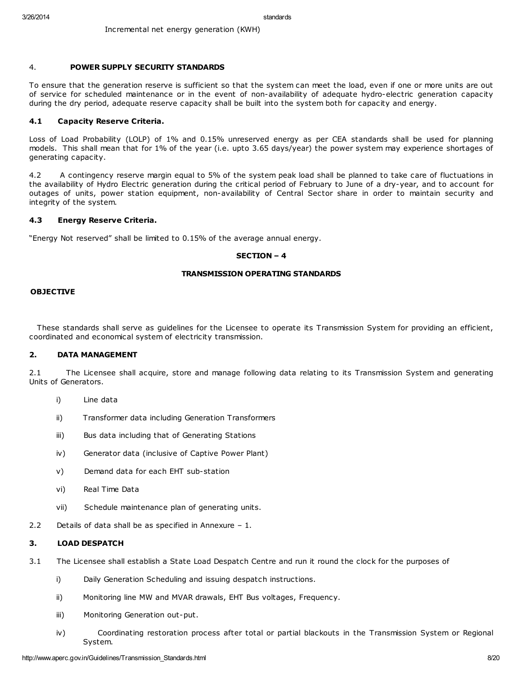#### 4. POWER SUPPLY SECURITY STANDARDS

To ensure that the generation reserve is sufficient so that the system can meet the load, even if one or more units are out of service for scheduled maintenance or in the event of non-availability of adequate hydro-electric generation capacity during the dry period, adequate reserve capacity shall be built into the system both for capacity and energy.

#### 4.1 Capacity Reserve Criteria.

Loss of Load Probability (LOLP) of 1% and 0.15% unreserved energy as per CEA standards shall be used for planning models. This shall mean that for 1% of the year (i.e. upto 3.65 days/year) the power system may experience shortages of generating capacity.

4.2 A contingency reserve margin equal to 5% of the system peak load shall be planned to take care of fluctuations in the availability of Hydro Electric generation during the critical period of February to June of a dry-year, and to account for outages of units, power station equipment, non-availability of Central Sector share in order to maintain security and integrity of the system.

#### 4.3 Energy Reserve Criteria.

"Energy Not reserved" shall be limited to 0.15% of the average annual energy.

#### SECTION – 4

#### TRANSMISSION OPERATING STANDARDS

#### **OBJECTIVE**

These standards shall serve as guidelines for the Licensee to operate its Transmission System for providing an efficient, coordinated and economical system of electricity transmission.

## 2. DATA MANAGEMENT

2.1 The Licensee shall acquire, store and manage following data relating to its Transmission System and generating Units of Generators.

- i) Line data
- ii) Transformer data including Generation Transformers
- iii) Bus data including that of Generating Stations
- iv) Generator data (inclusive of Captive Power Plant)
- v) Demand data for each EHT sub-station
- vi) Real Time Data
- vii) Schedule maintenance plan of generating units.
- 2.2 Details of data shall be as specified in Annexure 1.

## 3. LOAD DESPATCH

- 3.1 The Licensee shall establish a State Load Despatch Centre and run it round the clock for the purposes of
	- i) Daily Generation Scheduling and issuing despatch instructions.
	- ii) Monitoring line MW and MVAR drawals, EHT Bus voltages, Frequency.
	- iii) Monitoring Generation out-put.
	- iv) Coordinating restoration process after total or partial blackouts in the Transmission System or Regional System.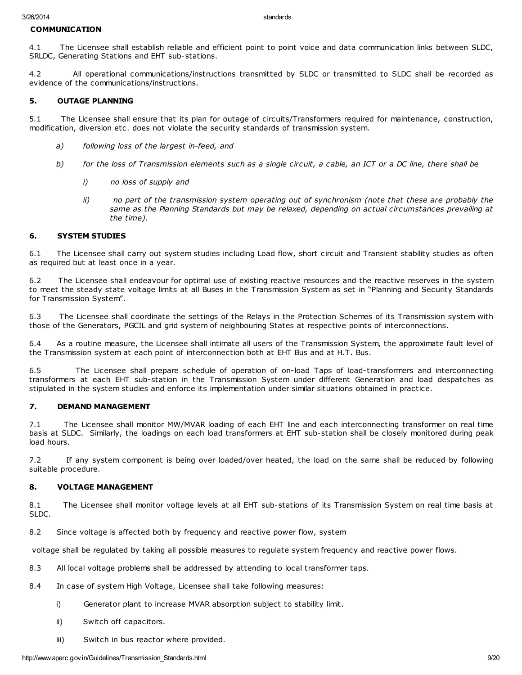## COMMUNICATION

4.1 The Licensee shall establish reliable and efficient point to point voice and data communication links between SLDC, SRLDC, Generating Stations and EHT sub-stations.

4.2 All operational communications/instructions transmitted by SLDC or transmitted to SLDC shall be recorded as evidence of the communications/instructions.

## 5. OUTAGE PLANNING

5.1 The Licensee shall ensure that its plan for outage of circuits/Transformers required for maintenance, construction, modification, diversion etc. does not violate the security standards of transmission system.

- a) following loss of the largest in-feed, and
- b) for the loss of Transmission elements such as a single circuit, a cable, an ICT or a DC line, there shall be
	- i) no loss of supply and
	- ii) no part of the transmission system operating out of synchronism (note that these are probably the same as the Planning Standards but may be relaxed, depending on actual circumstances prevailing at the time).

### 6. SYSTEM STUDIES

6.1 The Licensee shall carry out system studies including Load flow, short circuit and Transient stability studies as often as required but at least once in a year.

6.2 The Licensee shall endeavour for optimal use of existing reactive resources and the reactive reserves in the system to meet the steady state voltage limits at all Buses in the Transmission System as set in "Planning and Security Standards for Transmission System".

6.3 The Licensee shall coordinate the settings of the Relays in the Protection Schemes of its Transmission system with those of the Generators, PGCIL and grid system of neighbouring States at respective points of interconnections.

6.4 As a routine measure, the Licensee shall intimate all users of the Transmission System, the approximate fault level of the Transmission system at each point of interconnection both at EHT Bus and at H.T. Bus.

6.5 The Licensee shall prepare schedule of operation of on-load Taps of load-transformers and interconnecting transformers at each EHT sub-station in the Transmission System under different Generation and load despatches as stipulated in the system studies and enforce its implementation under similar situations obtained in practice.

### 7. DEMAND MANAGEMENT

7.1 The Licensee shall monitor MW/MVAR loading of each EHT line and each interconnecting transformer on real time basis at SLDC. Similarly, the loadings on each load transformers at EHT sub-station shall be closely monitored during peak load hours.

7.2 If any system component is being over loaded/over heated, the load on the same shall be reduced by following suitable procedure.

### 8. VOLTAGE MANAGEMENT

8.1 The Licensee shall monitor voltage levels at all EHT sub-stations of its Transmission System on real time basis at SLDC.

8.2 Since voltage is affected both by frequency and reactive power flow, system

voltage shall be regulated by taking all possible measures to regulate system frequency and reactive power flows.

- 8.3 All local voltage problems shall be addressed by attending to local transformer taps.
- 8.4 In case of system High Voltage, Licensee shall take following measures:
	- i) Generator plant to increase MVAR absorption subject to stability limit.
	- ii) Switch off capacitors.
	- iii) Switch in bus reactor where provided.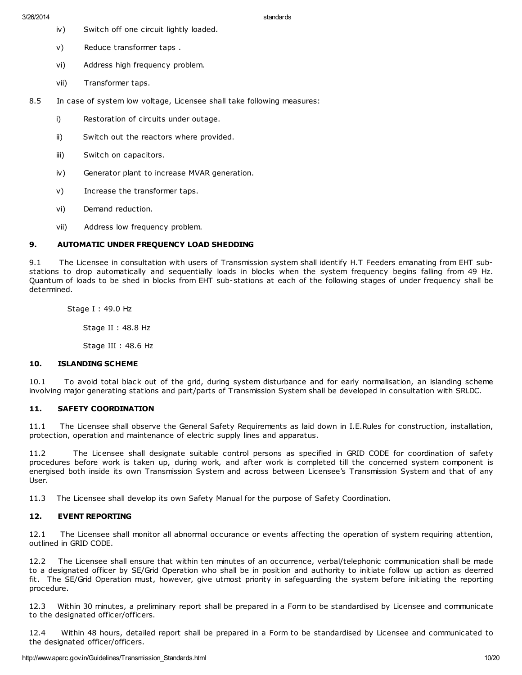iv) Switch off one circuit lightly loaded.

3/26/2014 standards

- v) Reduce transformer taps .
- vi) Address high frequency problem.
- vii) Transformer taps.

8.5 In case of system low voltage, Licensee shall take following measures:

- i) Restoration of circuits under outage.
- ii) Switch out the reactors where provided.
- iii) Switch on capacitors.
- iv) Generator plant to increase MVAR generation.
- v) Increase the transformer taps.
- vi) Demand reduction.
- vii) Address low frequency problem.

## 9. AUTOMATIC UNDER FREQUENCY LOAD SHEDDING

9.1 The Licensee in consultation with users of Transmission system shall identify H.T Feeders emanating from EHT substations to drop automatically and sequentially loads in blocks when the system frequency begins falling from 49 Hz. Quantum of loads to be shed in blocks from EHT sub-stations at each of the following stages of under frequency shall be determined.

Stage I : 49.0 Hz

Stage II : 48.8 Hz

Stage III : 48.6 Hz

## 10. ISLANDING SCHEME

10.1 To avoid total black out of the grid, during system disturbance and for early normalisation, an islanding scheme involving major generating stations and part/parts of Transmission System shall be developed in consultation with SRLDC.

### 11. SAFETY COORDINATION

11.1 The Licensee shall observe the General Safety Requirements as laid down in I.E.Rules for construction, installation, protection, operation and maintenance of electric supply lines and apparatus.

11.2 The Licensee shall designate suitable control persons as specified in GRID CODE for coordination of safety procedures before work is taken up, during work, and after work is completed till the concerned system component is energised both inside its own Transmission System and across between Licensee's Transmission System and that of any User.

11.3 The Licensee shall develop its own Safety Manual for the purpose of Safety Coordination.

## 12. EVENT REPORTING

12.1 The Licensee shall monitor all abnormal occurance or events affecting the operation of system requiring attention, outlined in GRID CODE.

12.2 The Licensee shall ensure that within ten minutes of an occurrence, verbal/telephonic communication shall be made to a designated officer by SE/Grid Operation who shall be in position and authority to initiate follow up action as deemed fit. The SE/Grid Operation must, however, give utmost priority in safeguarding the system before initiating the reporting procedure.

12.3 Within 30 minutes, a preliminary report shall be prepared in a Form to be standardised by Licensee and communicate to the designated officer/officers.

12.4 Within 48 hours, detailed report shall be prepared in a Form to be standardised by Licensee and communicated to the designated officer/officers.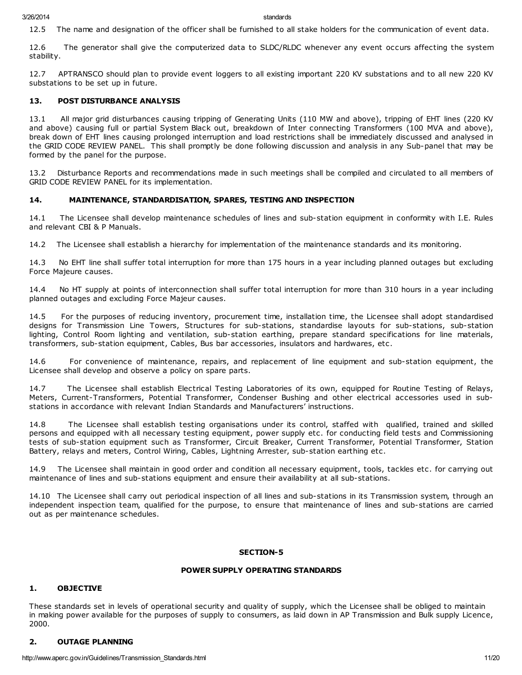12.5 The name and designation of the officer shall be furnished to all stake holders for the communication of event data.

12.6 The generator shall give the computerized data to SLDC/RLDC whenever any event occurs affecting the system stability.

12.7 APTRANSCO should plan to provide event loggers to all existing important 220 KV substations and to all new 220 KV substations to be set up in future.

#### 13. POST DISTURBANCE ANALYSIS

13.1 All major grid disturbances causing tripping of Generating Units (110 MW and above), tripping of EHT lines (220 KV and above) causing full or partial System Black out, breakdown of Inter connecting Transformers (100 MVA and above), break down of EHT lines causing prolonged interruption and load restrictions shall be immediately discussed and analysed in the GRID CODE REVIEW PANEL. This shall promptly be done following discussion and analysis in any Sub-panel that may be formed by the panel for the purpose.

13.2 Disturbance Reports and recommendations made in such meetings shall be compiled and circulated to all members of GRID CODE REVIEW PANEL for its implementation.

#### 14. MAINTENANCE, STANDARDISATION, SPARES, TESTING AND INSPECTION

14.1 The Licensee shall develop maintenance schedules of lines and sub-station equipment in conformity with I.E. Rules and relevant CBI & P Manuals.

14.2 The Licensee shall establish a hierarchy for implementation of the maintenance standards and its monitoring.

14.3 No EHT line shall suffer total interruption for more than 175 hours in a year including planned outages but excluding Force Majeure causes.

14.4 No HT supply at points of interconnection shall suffer total interruption for more than 310 hours in a year including planned outages and excluding Force Majeur causes.

14.5 For the purposes of reducing inventory, procurement time, installation time, the Licensee shall adopt standardised designs for Transmission Line Towers, Structures for sub-stations, standardise layouts for sub-stations, sub-station lighting, Control Room lighting and ventilation, sub-station earthing, prepare standard specifications for line materials, transformers, sub-station equipment, Cables, Bus bar accessories, insulators and hardwares, etc.

14.6 For convenience of maintenance, repairs, and replacement of line equipment and sub-station equipment, the Licensee shall develop and observe a policy on spare parts.

14.7 The Licensee shall establish Electrical Testing Laboratories of its own, equipped for Routine Testing of Relays, Meters, Current-Transformers, Potential Transformer, Condenser Bushing and other electrical accessories used in substations in accordance with relevant Indian Standards and Manufacturers' instructions.

14.8 The Licensee shall establish testing organisations under its control, staffed with qualified, trained and skilled persons and equipped with all necessary testing equipment, power supply etc. for conducting field tests and Commissioning tests of sub-station equipment such as Transformer, Circuit Breaker, Current Transformer, Potential Transformer, Station Battery, relays and meters, Control Wiring, Cables, Lightning Arrester, sub-station earthing etc.

14.9 The Licensee shall maintain in good order and condition all necessary equipment, tools, tackles etc. for carrying out maintenance of lines and sub-stations equipment and ensure their availability at all sub-stations.

14.10 The Licensee shall carry out periodical inspection of all lines and sub-stations in its Transmission system, through an independent inspection team, qualified for the purpose, to ensure that maintenance of lines and sub-stations are carried out as per maintenance schedules.

#### SECTION-5

#### POWER SUPPLY OPERATING STANDARDS

### 1. OBJECTIVE

These standards set in levels of operational security and quality of supply, which the Licensee shall be obliged to maintain in making power available for the purposes of supply to consumers, as laid down in AP Transmission and Bulk supply Licence, 2000.

## 2. OUTAGE PLANNING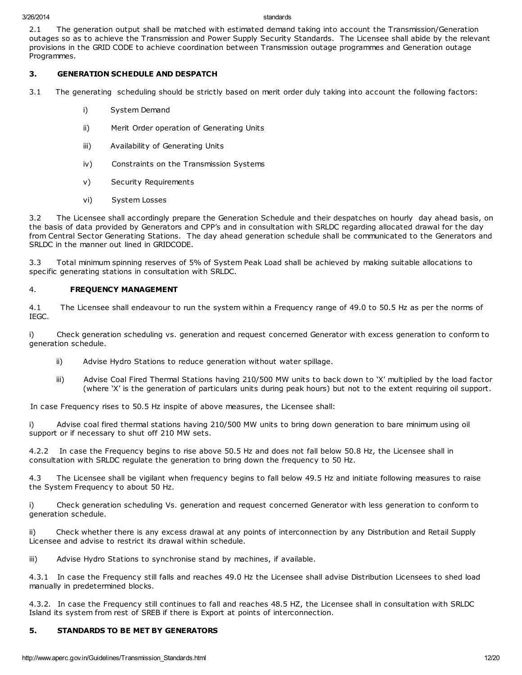2.1 The generation output shall be matched with estimated demand taking into account the Transmission/Generation outages so as to achieve the Transmission and Power Supply Security Standards. The Licensee shall abide by the relevant provisions in the GRID CODE to achieve coordination between Transmission outage programmes and Generation outage Programmes.

## 3. GENERATION SCHEDULE AND DESPATCH

3.1 The generating scheduling should be strictly based on merit order duly taking into account the following factors:

- i) System Demand
- ii) Merit Order operation of Generating Units
- iii) Availability of Generating Units
- iv) Constraints on the Transmission Systems
- v) Security Requirements
- vi) System Losses

3.2 The Licensee shall accordingly prepare the Generation Schedule and their despatches on hourly day ahead basis, on the basis of data provided by Generators and CPP's and in consultation with SRLDC regarding allocated drawal for the day from Central Sector Generating Stations. The day ahead generation schedule shall be communicated to the Generators and SRLDC in the manner out lined in GRIDCODE.

3.3 Total minimum spinning reserves of 5% of System Peak Load shall be achieved by making suitable allocations to specific generating stations in consultation with SRLDC.

## 4. FREQUENCY MANAGEMENT

4.1 The Licensee shall endeavour to run the system within a Frequency range of 49.0 to 50.5 Hz as per the norms of IEGC.

i) Check generation scheduling vs. generation and request concerned Generator with excess generation to conform to generation schedule.

- ii) Advise Hydro Stations to reduce generation without water spillage.
- iii) Advise Coal Fired Thermal Stations having 210/500 MW units to back down to 'X' multiplied by the load factor (where 'X' is the generation of particulars units during peak hours) but not to the extent requiring oil support.

In case Frequency rises to 50.5 Hz inspite of above measures, the Licensee shall:

i) Advise coal fired thermal stations having 210/500 MW units to bring down generation to bare minimum using oil support or if necessary to shut off 210 MW sets.

4.2.2 In case the Frequency begins to rise above 50.5 Hz and does not fall below 50.8 Hz, the Licensee shall in consultation with SRLDC regulate the generation to bring down the frequency to 50 Hz.

4.3 The Licensee shall be vigilant when frequency begins to fall below 49.5 Hz and initiate following measures to raise the System Frequency to about 50 Hz.

i) Check generation scheduling Vs. generation and request concerned Generator with less generation to conform to generation schedule.

ii) Check whether there is any excess drawal at any points of interconnection by any Distribution and Retail Supply Licensee and advise to restrict its drawal within schedule.

iii) Advise Hydro Stations to synchronise stand by machines, if available.

4.3.1 In case the Frequency still falls and reaches 49.0 Hz the Licensee shall advise Distribution Licensees to shed load manually in predetermined blocks.

4.3.2. In case the Frequency still continues to fall and reaches 48.5 HZ, the Licensee shall in consultation with SRLDC Island its system from rest of SREB if there is Export at points of interconnection.

## 5. STANDARDS TO BE MET BY GENERATORS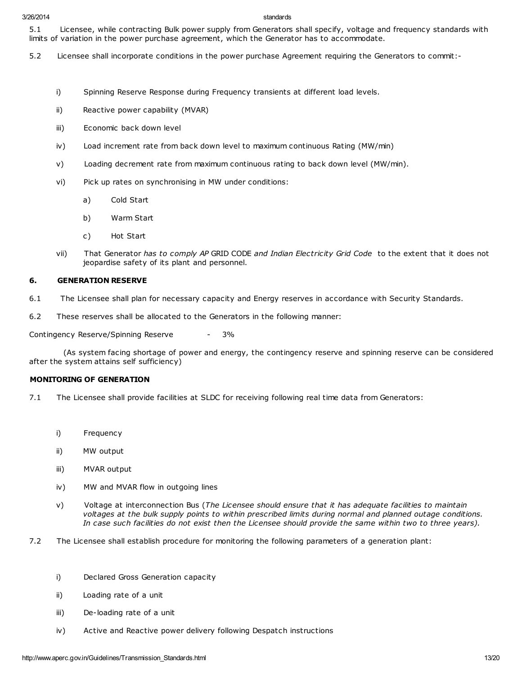5.1 Licensee, while contracting Bulk power supply from Generators shall specify, voltage and frequency standards with limits of variation in the power purchase agreement, which the Generator has to accommodate.

- 5.2 Licensee shall incorporate conditions in the power purchase Agreement requiring the Generators to commit:
	- i) Spinning Reserve Response during Frequency transients at different load levels.
	- ii) Reactive power capability (MVAR)
	- iii) Economic back down level
	- iv) Load increment rate from back down level to maximum continuous Rating (MW/min)
	- v) Loading decrement rate from maximum continuous rating to back down level (MW/min).
	- vi) Pick up rates on synchronising in MW under conditions:
		- a) Cold Start
		- b) Warm Start
		- c) Hot Start
	- vii) That Generator has to comply AP GRID CODE and Indian Electricity Grid Code to the extent that it does not jeopardise safety of its plant and personnel.

## 6. GENERATION RESERVE

- 6.1 The Licensee shall plan for necessary capacity and Energy reserves in accordance with Security Standards.
- 6.2 These reserves shall be allocated to the Generators in the following manner:

Contingency Reserve/Spinning Reserve - 3%

(As system facing shortage of power and energy, the contingency reserve and spinning reserve can be considered after the system attains self sufficiency)

## MONITORING OF GENERATION

- 7.1 The Licensee shall provide facilities at SLDC for receiving following real time data from Generators:
	- i) Frequency
	- ii) MW output
	- iii) MVAR output
	- iv) MW and MVAR flow in outgoing lines
	- v) Voltage at interconnection Bus (The Licensee should ensure that it has adequate facilities to maintain voltages at the bulk supply points to within prescribed limits during normal and planned outage conditions. In case such facilities do not exist then the Licensee should provide the same within two to three years).
- 7.2 The Licensee shall establish procedure for monitoring the following parameters of a generation plant:
	- i) Declared Gross Generation capacity
	- ii) Loading rate of a unit
	- iii) De-loading rate of a unit
	- iv) Active and Reactive power delivery following Despatch instructions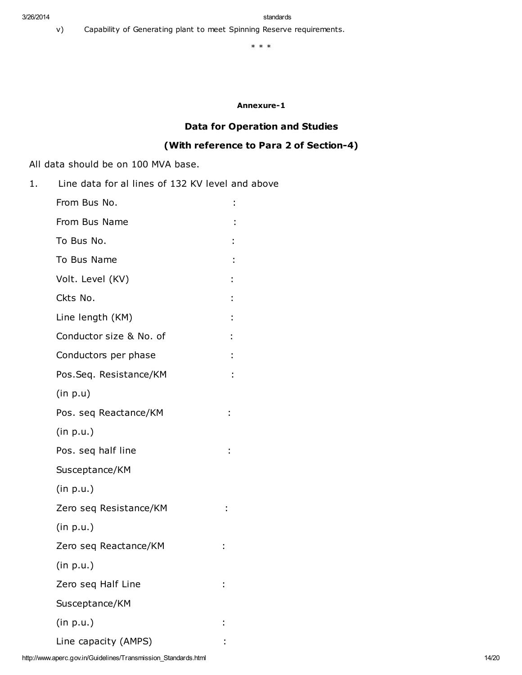v) Capability of Generating plant to meet Spinning Reserve requirements.

\* \* \*

## Annexure-1

# Data for Operation and Studies

# (With reference to Para 2 of Section-4)

All data should be on 100 MVA base.

1. Line data for al lines of 132 KV level and above

| From Bus No.            |  |
|-------------------------|--|
| From Bus Name           |  |
| To Bus No.              |  |
| To Bus Name             |  |
| Volt. Level (KV)        |  |
| Ckts No.                |  |
| Line length (KM)        |  |
| Conductor size & No. of |  |
| Conductors per phase    |  |
| Pos.Seq. Resistance/KM  |  |
| (in p.u)                |  |
| Pos. seg Reactance/KM   |  |
| (in p.u.)               |  |
| Pos. seq half line      |  |
| Susceptance/KM          |  |
| (in p.u.)               |  |
| Zero seq Resistance/KM  |  |
| (in p.u.)               |  |
| Zero seq Reactance/KM   |  |
| (in p.u.)               |  |
| Zero seq Half Line      |  |
| Susceptance/KM          |  |
| (in p.u.)               |  |
| Line capacity (AMPS)    |  |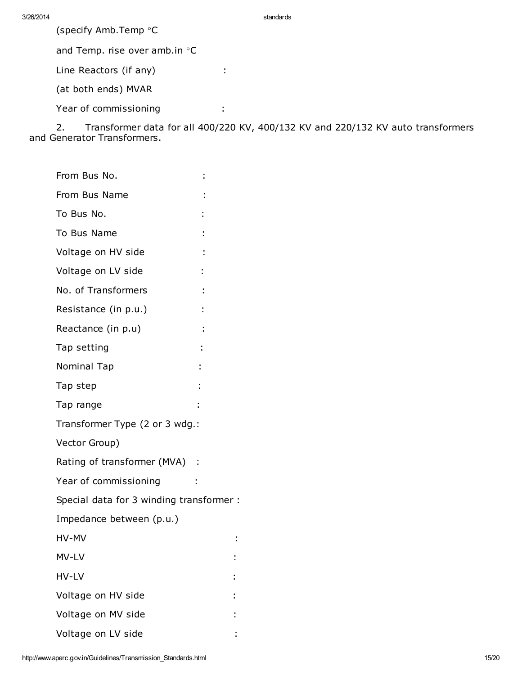(specify Amb.Temp °C

and Temp. rise over amb.in °C

Line Reactors (if any) :

(at both ends) MVAR

Year of commissioning :

2. Transformer data for all 400/220 KV, 400/132 KV and 220/132 KV auto transformers and Generator Transformers.

| From Bus No.                             |  |
|------------------------------------------|--|
| From Bus Name                            |  |
| To Bus No.                               |  |
| To Bus Name                              |  |
| Voltage on HV side                       |  |
| Voltage on LV side                       |  |
| No. of Transformers                      |  |
| Resistance (in p.u.)                     |  |
| Reactance (in p.u)                       |  |
| Tap setting                              |  |
| Nominal Tap                              |  |
| Tap step                                 |  |
| Tap range                                |  |
| Transformer Type (2 or 3 wdg.:           |  |
| Vector Group)                            |  |
| Rating of transformer (MVA) :            |  |
| Year of commissioning                    |  |
| Special data for 3 winding transformer : |  |
| Impedance between (p.u.)                 |  |
| HV-MV                                    |  |
| MV-LV                                    |  |
| HV-LV                                    |  |
| Voltage on HV side                       |  |
| Voltage on MV side                       |  |
| Voltage on LV side                       |  |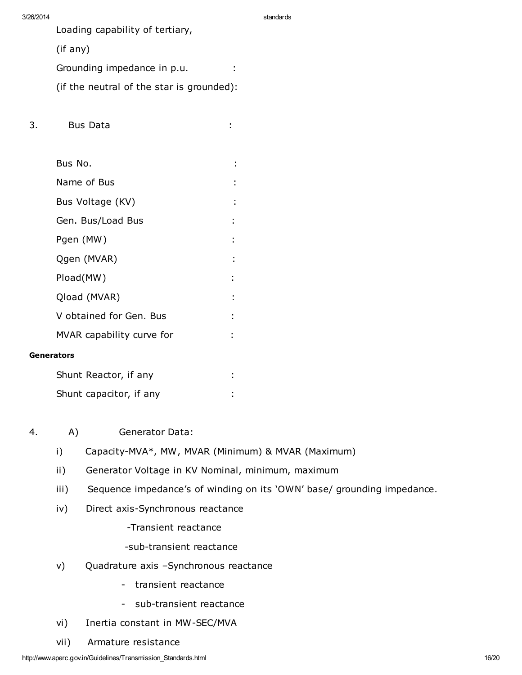Loading capability of tertiary,

(if any)

Grounding impedance in p.u. :

(if the neutral of the star is grounded):

- 3. Bus Data :
- Bus No. : Name of Bus in the set of  $\mathsf{B}$  and  $\mathsf{B}$  is the set of  $\mathsf{B}$  is the set of  $\mathsf{B}$  is the set of  $\mathsf{B}$  is the set of  $\mathsf{B}$  is the set of  $\mathsf{B}$  is the set of  $\mathsf{B}$  is the set of  $\mathsf{B}$  is the set of Bus Voltage (KV) in the set of the set of the set of the set of the set of the set of the set of the set of the set of the set of the set of the set of the set of the set of the set of the set of the set of the set of the Gen. Bus/Load Bus **: 1999**: Pgen (MW) : Qgen (MVAR) : Pload(MW) : Qload (MVAR) : V obtained for Gen. Bus : : MVAR capability curve for  $\cdot$ **Generators** Shunt Reactor, if any interest and the shall contain the shall contain the shall contain the shall contain the shall contain the shall contain the shall contain the shall contain the shall contain the shall contain the sha Shunt capacitor, if any state of the shall capacitor, if any state of the state of the state of the state of the state of the state of the state of the state of the state of the state of the state of the state of the state
- 4. A) Generator Data:
	- i) Capacity-MVA\*, MW, MVAR (Minimum) & MVAR (Maximum)
	- ii) Generator Voltage in KV Nominal, minimum, maximum
	- iii) Sequence impedance's of winding on its 'OWN' base/ grounding impedance.
	- iv) Direct axis-Synchronous reactance

-Transient reactance

- -sub-transient reactance
- v) Quadrature axis –Synchronous reactance
	- transient reactance
	- sub-transient reactance
- vi) Inertia constant in MW-SEC/MVA
- vii) Armature resistance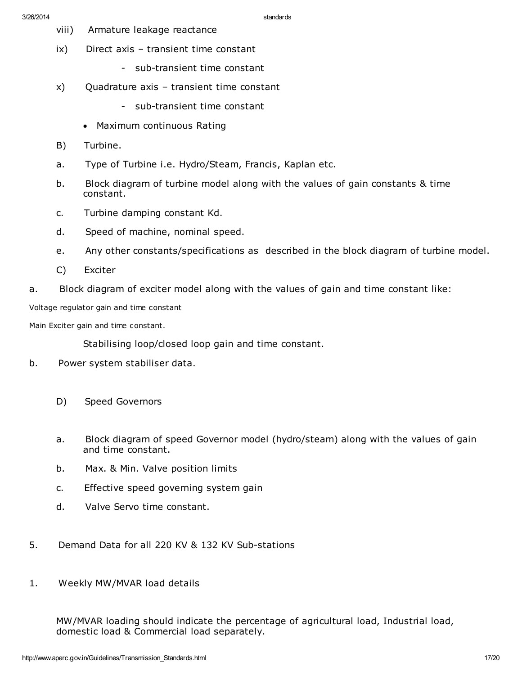- viii) Armature leakage reactance
- ix) Direct axis transient time constant
	- sub-transient time constant
- x) Quadrature axis transient time constant
	- sub-transient time constant
	- · Maximum continuous Rating
- B) Turbine.
- a. Type of Turbine i.e. Hydro/Steam, Francis, Kaplan etc.
- b. Block diagram of turbine model along with the values of gain constants & time constant.
- c. Turbine damping constant Kd.
- d. Speed of machine, nominal speed.
- e. Any other constants/specifications as described in the block diagram of turbine model.
- C) Exciter
- a. Block diagram of exciter model along with the values of gain and time constant like:

Voltage regulator gain and time constant

Main Exciter gain and time constant.

Stabilising loop/closed loop gain and time constant.

- b. Power system stabiliser data.
	- D) Speed Governors
	- a. Block diagram of speed Governor model (hydro/steam) along with the values of gain and time constant.
	- b. Max. & Min. Valve position limits
	- c. Effective speed governing system gain
	- d. Valve Servo time constant.
- 5. Demand Data for all 220 KV & 132 KV Sub-stations
- 1. Weekly MW/MVAR load details

MW/MVAR loading should indicate the percentage of agricultural load, Industrial load, domestic load & Commercial load separately.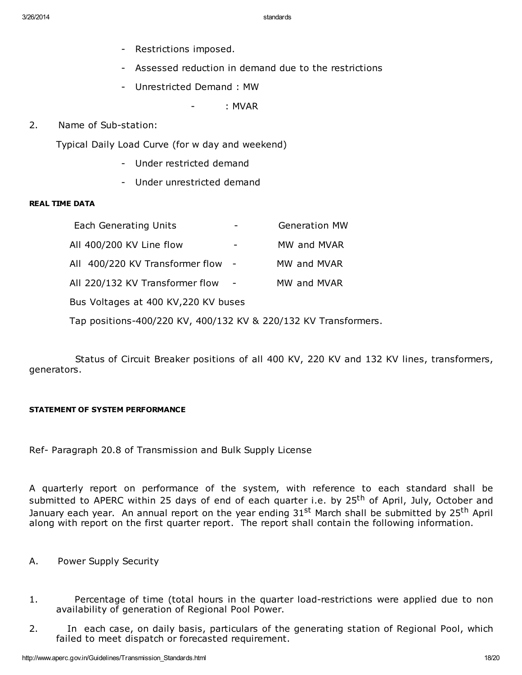- Restrictions imposed.
- Assessed reduction in demand due to the restrictions
- Unrestricted Demand : MW
	- : MVAR
- 2. Name of Sub-station:

Typical Daily Load Curve (for w day and weekend)

- Under restricted demand
- Under unrestricted demand

## REAL TIME DATA

| <b>Each Generating Units</b>                                    |  | <b>Generation MW</b> |  |
|-----------------------------------------------------------------|--|----------------------|--|
| All 400/200 KV Line flow                                        |  | MW and MVAR          |  |
| All 400/220 KV Transformer flow -                               |  | MW and MVAR          |  |
| All 220/132 KV Transformer flow                                 |  | MW and MVAR          |  |
| Bus Voltages at 400 KV, 220 KV buses                            |  |                      |  |
| Tap positions-400/220 KV, 400/132 KV & 220/132 KV Transformers. |  |                      |  |

Status of Circuit Breaker positions of all 400 KV, 220 KV and 132 KV lines, transformers, generators.

## STATEMENT OF SYSTEM PERFORMANCE

Ref- Paragraph 20.8 of Transmission and Bulk Supply License

A quarterly report on performance of the system, with reference to each standard shall be submitted to APERC within 25 days of end of each quarter i.e. by 25<sup>th</sup> of April, July, October and January each year. An annual report on the year ending 31<sup>st</sup> March shall be submitted by 25<sup>th</sup> April along with report on the first quarter report. The report shall contain the following information.

- A. Power Supply Security
- 1. Percentage of time (total hours in the quarter load-restrictions were applied due to non availability of generation of Regional Pool Power.
- 2. In each case, on daily basis, particulars of the generating station of Regional Pool, which failed to meet dispatch or forecasted requirement.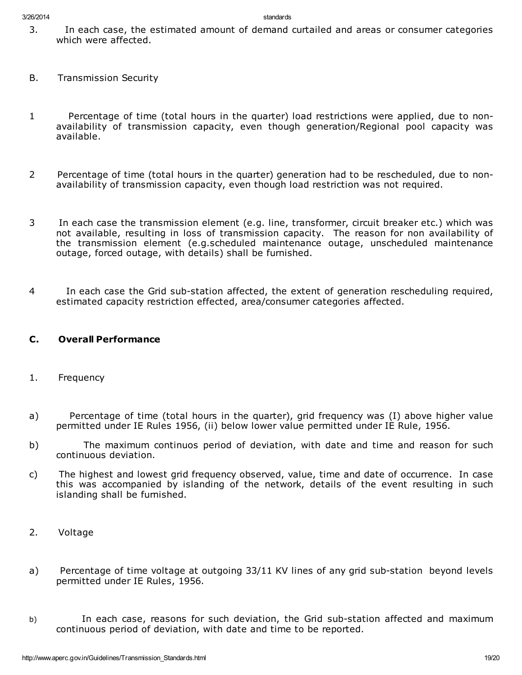- 3. In each case, the estimated amount of demand curtailed and areas or consumer categories which were affected.
- B. Transmission Security
- 1 Percentage of time (total hours in the quarter) load restrictions were applied, due to nonavailability of transmission capacity, even though generation/Regional pool capacity was available.
- 2 Percentage of time (total hours in the quarter) generation had to be rescheduled, due to nonavailability of transmission capacity, even though load restriction was not required.
- 3 In each case the transmission element (e.g. line, transformer, circuit breaker etc.) which was not available, resulting in loss of transmission capacity. The reason for non availability of the transmission element (e.g.scheduled maintenance outage, unscheduled maintenance outage, forced outage, with details) shall be furnished.
- 4 In each case the Grid sub-station affected, the extent of generation rescheduling required, estimated capacity restriction effected, area/consumer categories affected.

# C. Overall Performance

- 1. Frequency
- a) Percentage of time (total hours in the quarter), grid frequency was (I) above higher value permitted under IE Rules 1956, (ii) below lower value permitted under IE Rule, 1956.
- b) The maximum continuos period of deviation, with date and time and reason for such continuous deviation.
- c) The highest and lowest grid frequency observed, value, time and date of occurrence. In case this was accompanied by islanding of the network, details of the event resulting in such islanding shall be furnished.
- 2. Voltage
- a) Percentage of time voltage at outgoing 33/11 KV lines of any grid sub-station beyond levels permitted under IE Rules, 1956.
- b) In each case, reasons for such deviation, the Grid sub-station affected and maximum continuous period of deviation, with date and time to be reported.